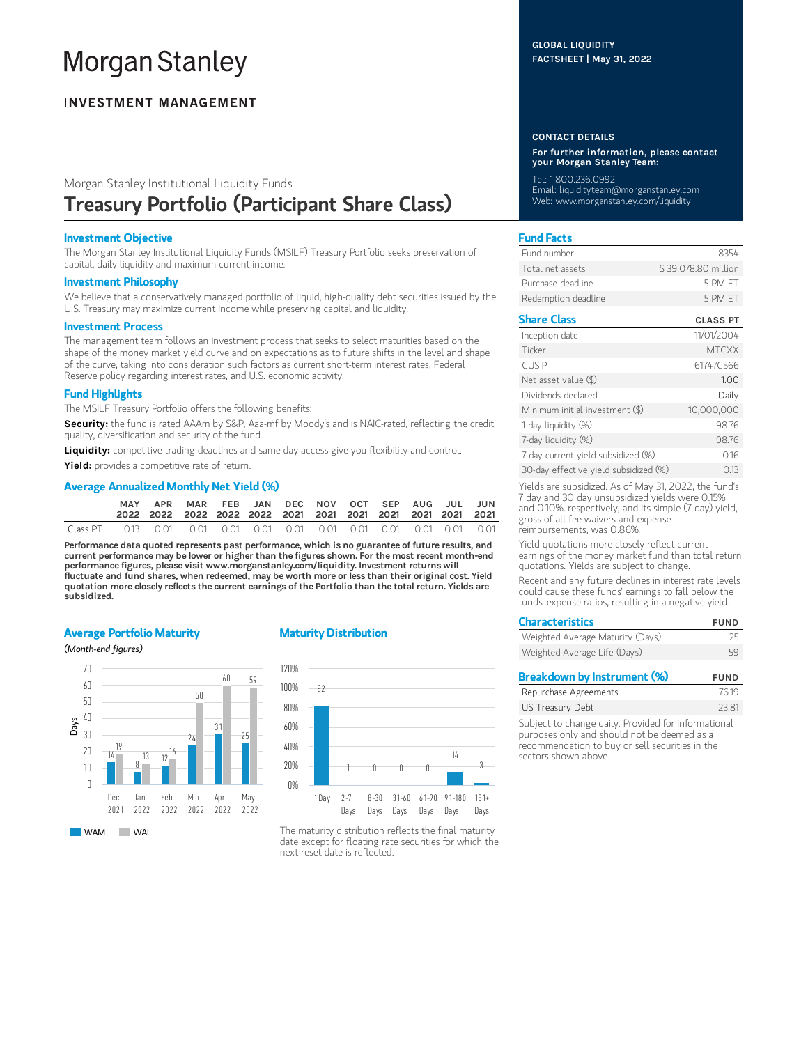# **Morgan Stanley**

# **INVESTMENT MANAGEMENT**

# Morgan Stanley Institutional Liquidity Funds Treasury Portfolio (Participant Share Class)

## Investment Objective

The Morgan Stanley Institutional Liquidity Funds (MSILF) Treasury Portfolio seeks preservation of capital, daily liquidity and maximum current income.

#### Investment Philosophy

We believe that a conservatively managed portfolio of liquid, high-quality debt securities issued by the U.S. Treasury may maximize current income while preserving capital and liquidity.

#### Investment Process

The management team follows an investment process that seeks to select maturities based on the shape of the money market yield curve and on expectations as to future shifts in the level and shape of the curve, taking into consideration such factors as current short-term interest rates, Federal Reserve policy regarding interest rates, and U.S. economic activity.

# Fund Highlights

The MSILF Treasury Portfolio offers the following benefits:

Security: the fund is rated AAAm by S&P, Aaa-mf by Moody's and is NAIC-rated, reflecting the credit quality, diversification and security of the fund.

Liquidity: competitive trading deadlines and same-day access give you flexibility and control.

Yield: provides a competitive rate of return.

# Average Annualized Monthly Net Yield (%)

|          | MAY                                                                    | APR MAR FEB JAN DEC NOV OCT SEP AUG JUL JUN |  |  |  |  |  |
|----------|------------------------------------------------------------------------|---------------------------------------------|--|--|--|--|--|
| Class PT | 0.13  0.01  0.01  0.01  0.01  0.01  0.01  0.01  0.01  0.01  0.01  0.01 |                                             |  |  |  |  |  |

Performance data quoted represents past performance, which is no guarantee of future results, and current performance may be lower or higher than the figures shown. For the most recent month-end performance figures, please visit www.morganstanley.com/liquidity. Investment returns will fluctuate and fund shares, when redeemed, may be worth more or less than their original cost. Yield quotation more closely reflects the current earnings of the Portfolio than the total return. Yields are subsidized.

## Average Portfolio Maturity

(Month-end figures)



## Maturity Distribution



The maturity distribution reflects the final maturity date except for floating rate securities for which the next reset date is reflected.

#### CONTACT DETAILS

For further information, please contact your Morgan Stanley Team:

Tel: 1.800.236.0992 Email: liquidityteam@morganstanley.com Web: www.morganstanley.com/liquidity

# Fund Facts

| Fund number         | 8354                |
|---------------------|---------------------|
| Total net assets    | \$39,078.80 million |
| Purchase deadline.  | 5 PM FT             |
| Redemption deadline | 5 PM FT             |

# Share Class CLASS PT

| Inception date                        | 11/01/2004   |
|---------------------------------------|--------------|
| Ticker                                | <b>MTCXX</b> |
| <b>CUSIP</b>                          | 61747C566    |
| Net asset value $(\$)$                | 1.00         |
| Dividends declared                    | Daily        |
| Minimum initial investment (\$)       | 10.000.000   |
| 1-day liquidity (%)                   | 98.76        |
| 7-day liquidity (%)                   | 98.76        |
| 7-day current yield subsidized (%)    | 0.16         |
| 30-day effective yield subsidized (%) | 0.13         |

Yields are subsidized. As of May 31, 2022, the fund's 7 day and 30 day unsubsidized yields were 0.15% and 0.10%, respectively, and its simple (7-day) yield, gross of all fee waivers and expense reimbursements, was 0.86%.

Yield quotations more closely reflect current earnings of the money market fund than total return quotations. Yields are subject to change.

Recent and any future declines in interest rate levels could cause these funds' earnings to fall below the funds' expense ratios, resulting in a negative yield.

| <b>Characteristics</b>           | <b>FUND</b> |
|----------------------------------|-------------|
| Weighted Average Maturity (Days) | 25          |
| Weighted Average Life (Days)     | 59          |
|                                  |             |

| Breakdown by Instrument (%) | <b>FUND</b> |
|-----------------------------|-------------|
| Repurchase Agreements       | 76.19       |
| US Treasury Debt            | 23.81       |
|                             |             |

Subject to change daily. Provided for informational purposes only and should not be deemed as a recommendation to buy or sell securities in the sectors shown above.